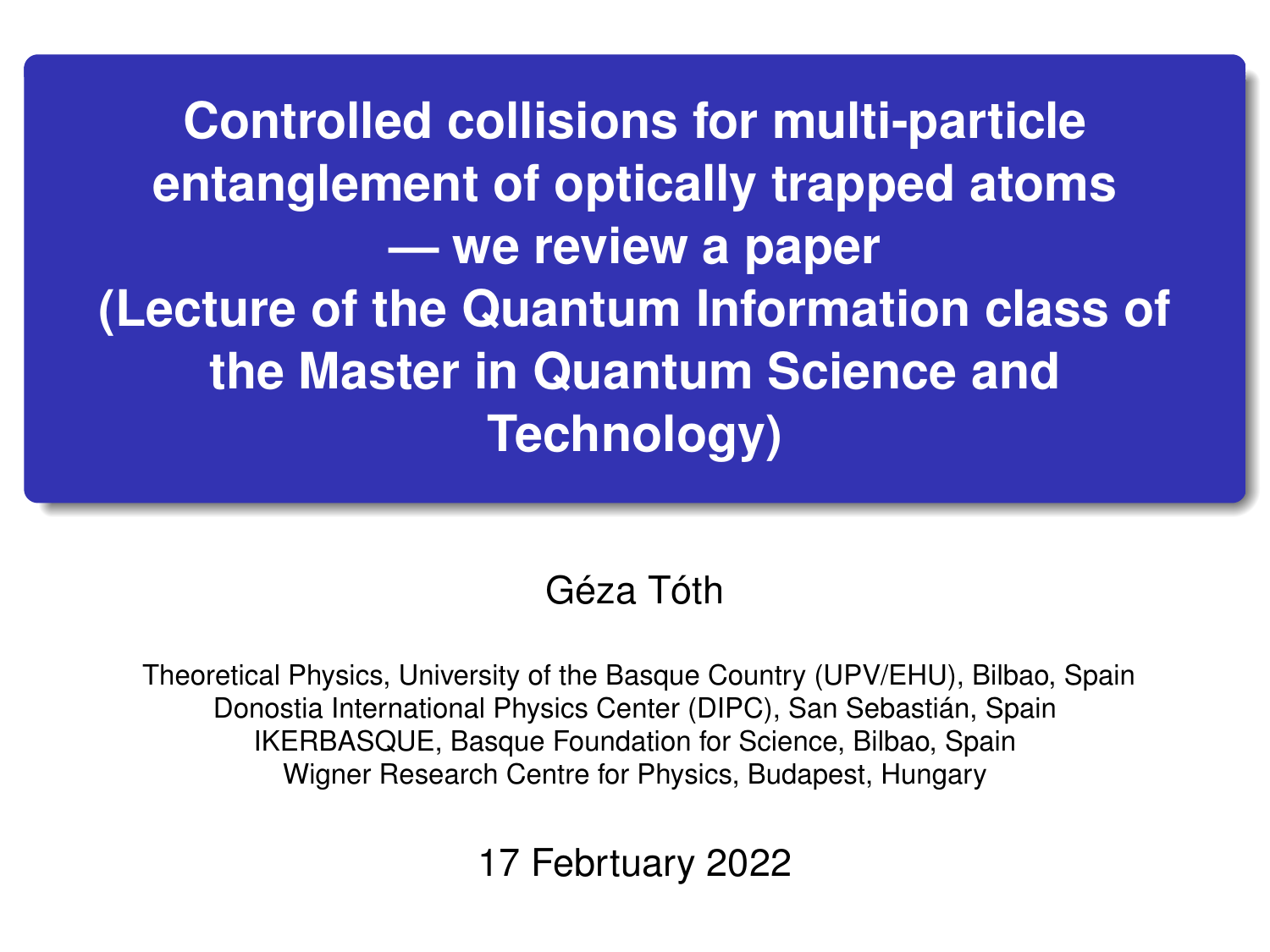**Controlled collisions for multi-particle entanglement of optically trapped atoms — we review a paper (Lecture of the Quantum Information class of the Master in Quantum Science and Technology)**

## Géza Tóth

Theoretical Physics, University of the Basque Country (UPV/EHU), Bilbao, Spain Donostia International Physics Center (DIPC), San Sebastián, Spain IKERBASQUE, Basque Foundation for Science, Bilbao, Spain Wigner Research Centre for Physics, Budapest, Hungary

17 Febrtuary 2022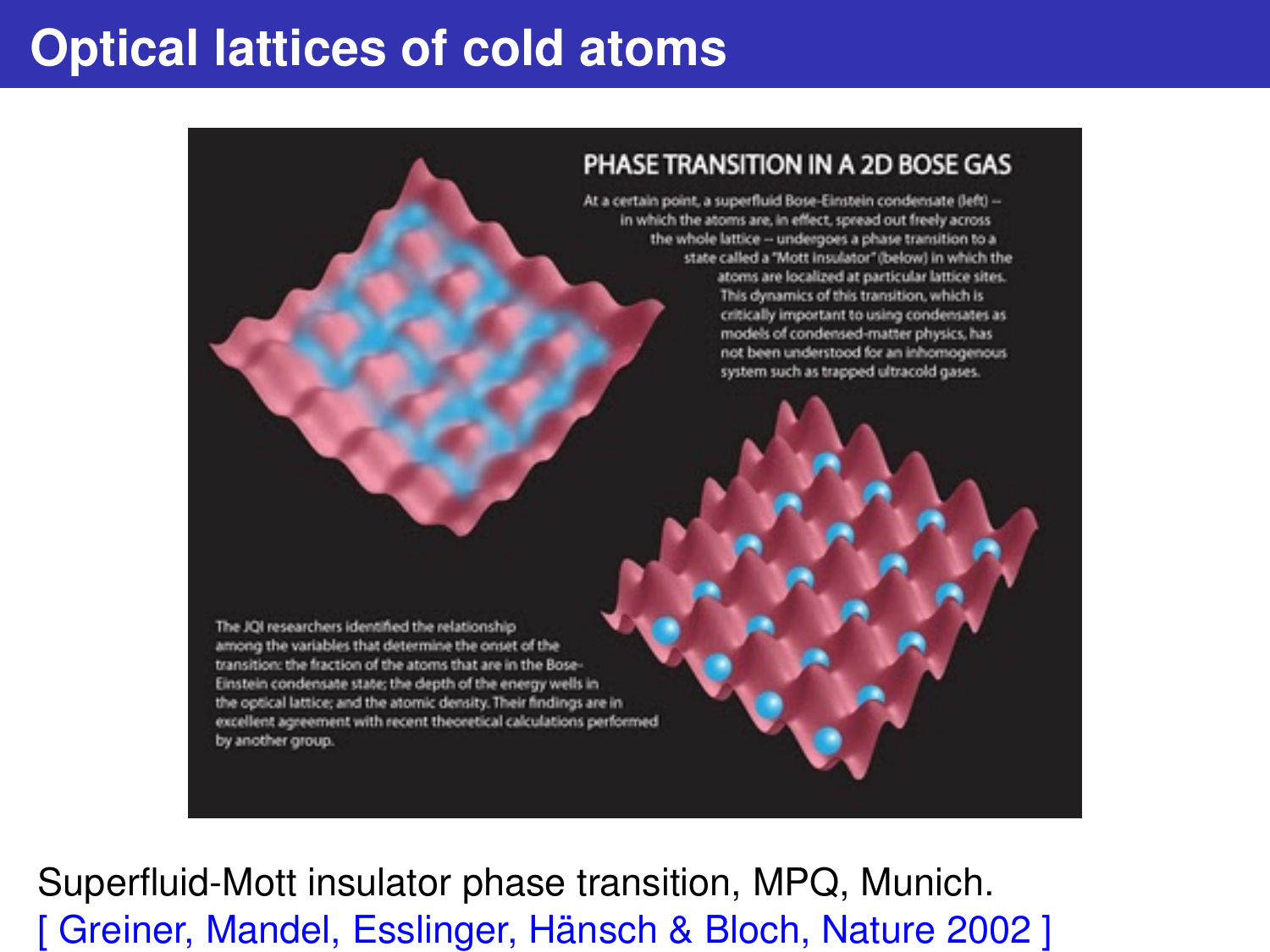## **Optical lattices of cold atoms**



Superfluid-Mott insulator phase transition, MPQ, Munich. [ Greiner, Mandel, Esslinger, Hänsch & Bloch, Nature 2002 ]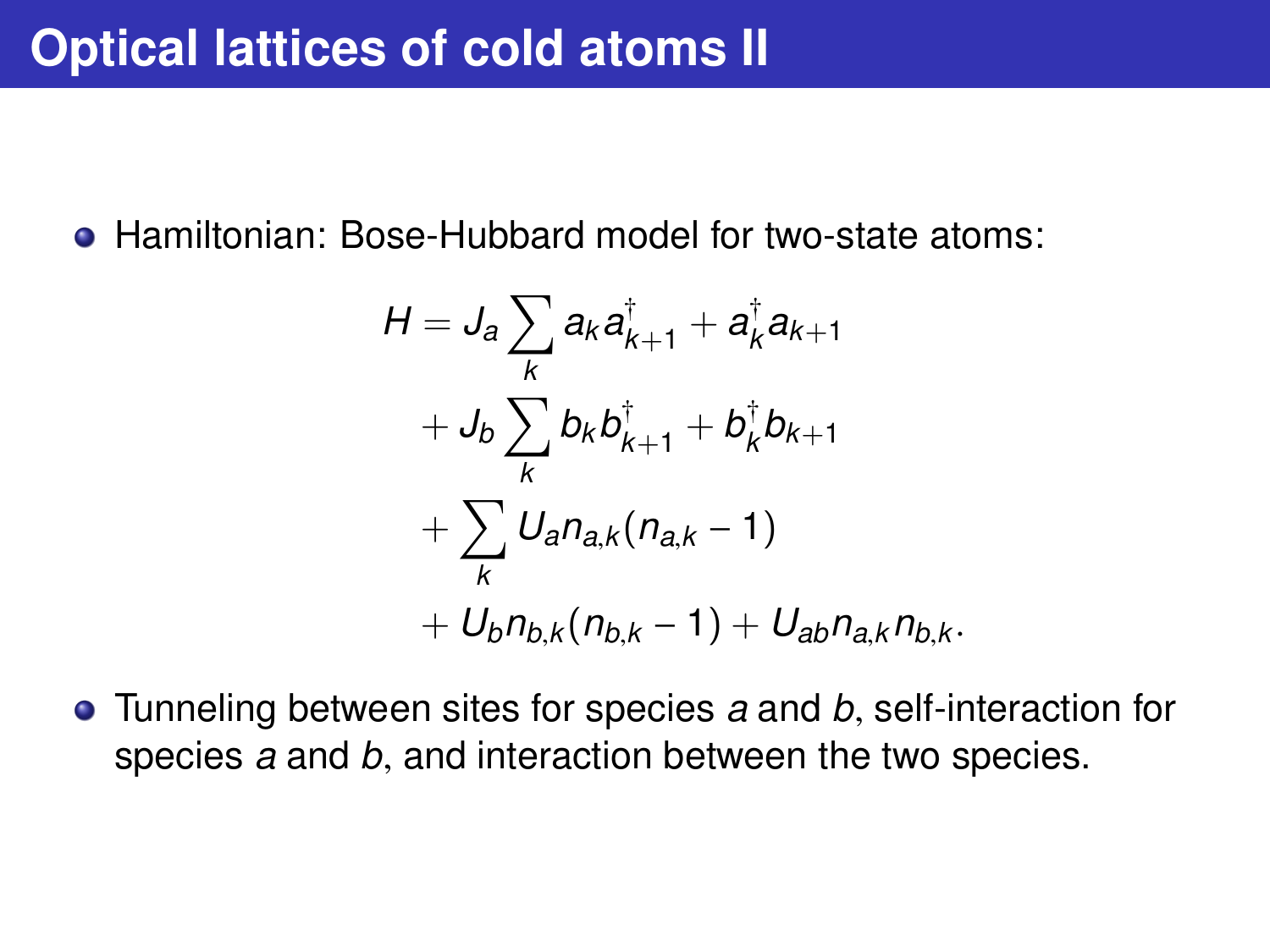• Hamiltonian: Bose-Hubbard model for two-state atoms:

$$
H = J_a \sum_{k} a_{k} a_{k+1}^{\dagger} + a_{k}^{\dagger} a_{k+1} + J_b \sum_{k} b_{k} b_{k+1}^{\dagger} + b_{k}^{\dagger} b_{k+1} + \sum_{k} U_a n_{a,k} (n_{a,k} - 1) + U_b n_{b,k} (n_{b,k} - 1) + U_{ab} n_{a,k} n_{b,k}.
$$

Tunneling between sites for species *<sup>a</sup>* and *<sup>b</sup>*, self-interaction for species *<sup>a</sup>* and *<sup>b</sup>*, and interaction between the two species.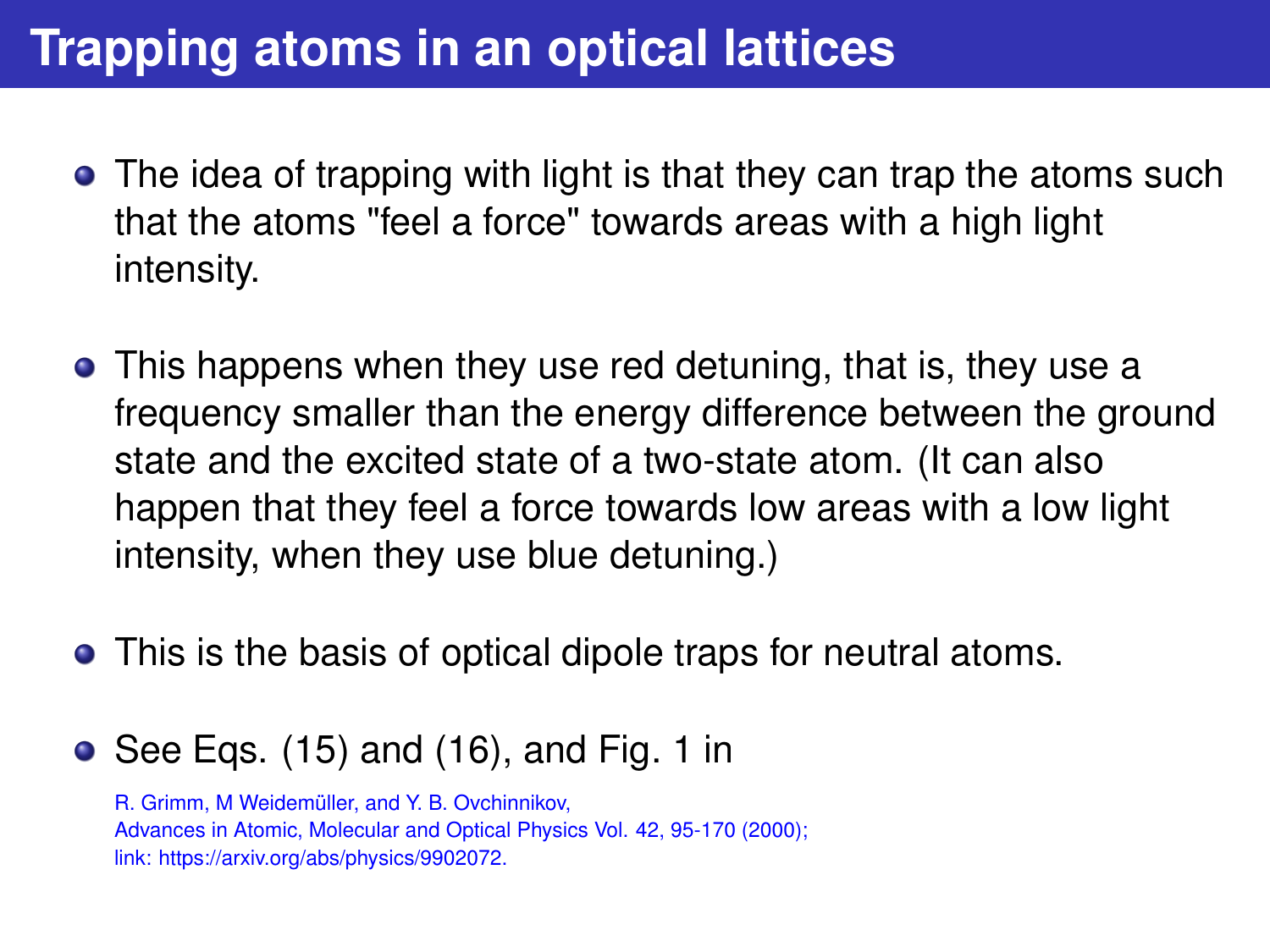# **Trapping atoms in an optical lattices**

- The idea of trapping with light is that they can trap the atoms such that the atoms "feel a force" towards areas with a high light intensity.
- This happens when they use red detuning, that is, they use a frequency smaller than the energy difference between the ground state and the excited state of a two-state atom. (It can also happen that they feel a force towards low areas with a low light intensity, when they use blue detuning.)
- This is the basis of optical dipole traps for neutral atoms.
- $\bullet$  See Eqs. (15) and (16), and Fig. 1 in

R. Grimm, M Weidemüller, and Y. B. Ovchinnikov, Advances in Atomic, Molecular and Optical Physics Vol. 42, 95-170 (2000); [link: https://arxiv.org/abs/physics/9902072.](https://arxiv.org/abs/physics/9902072)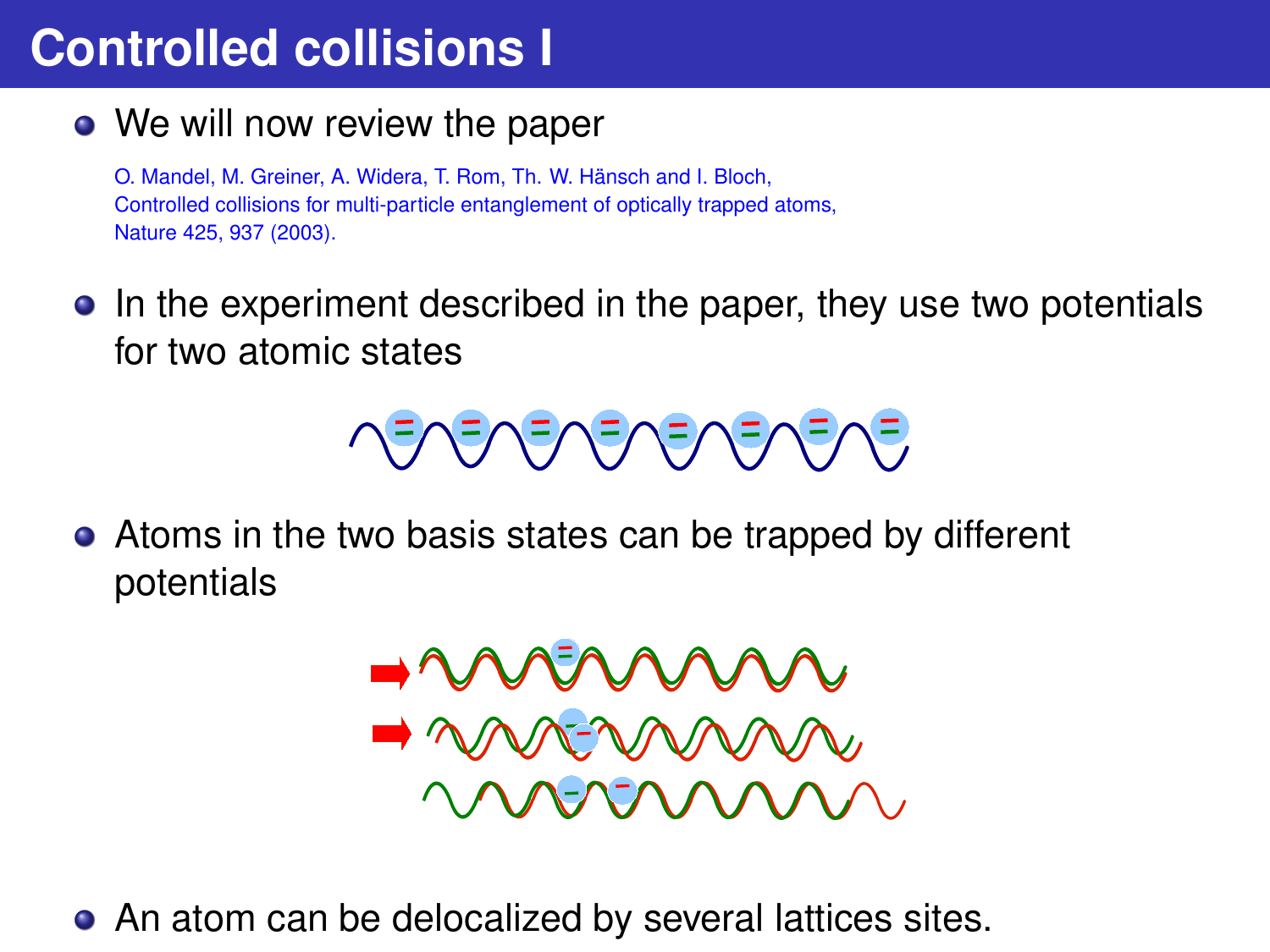# **Controlled collisions I**

• We will now review the paper

O. Mandel, M. Greiner, A. Widera, T. Rom, Th. W. Hänsch and I. Bloch, Controlled collisions for multi-particle entanglement of optically trapped atoms, Nature 425, 937 (2003).

In the experiment described in the paper, they use two potentials for two atomic states



Atoms in the two basis states can be trapped by different potentials

$$
\bigcup_{n=1}^{\infty} \mathcal{M}(X) \otimes \mathcal{M}(X)
$$

An atom can be delocalized by several lattices sites.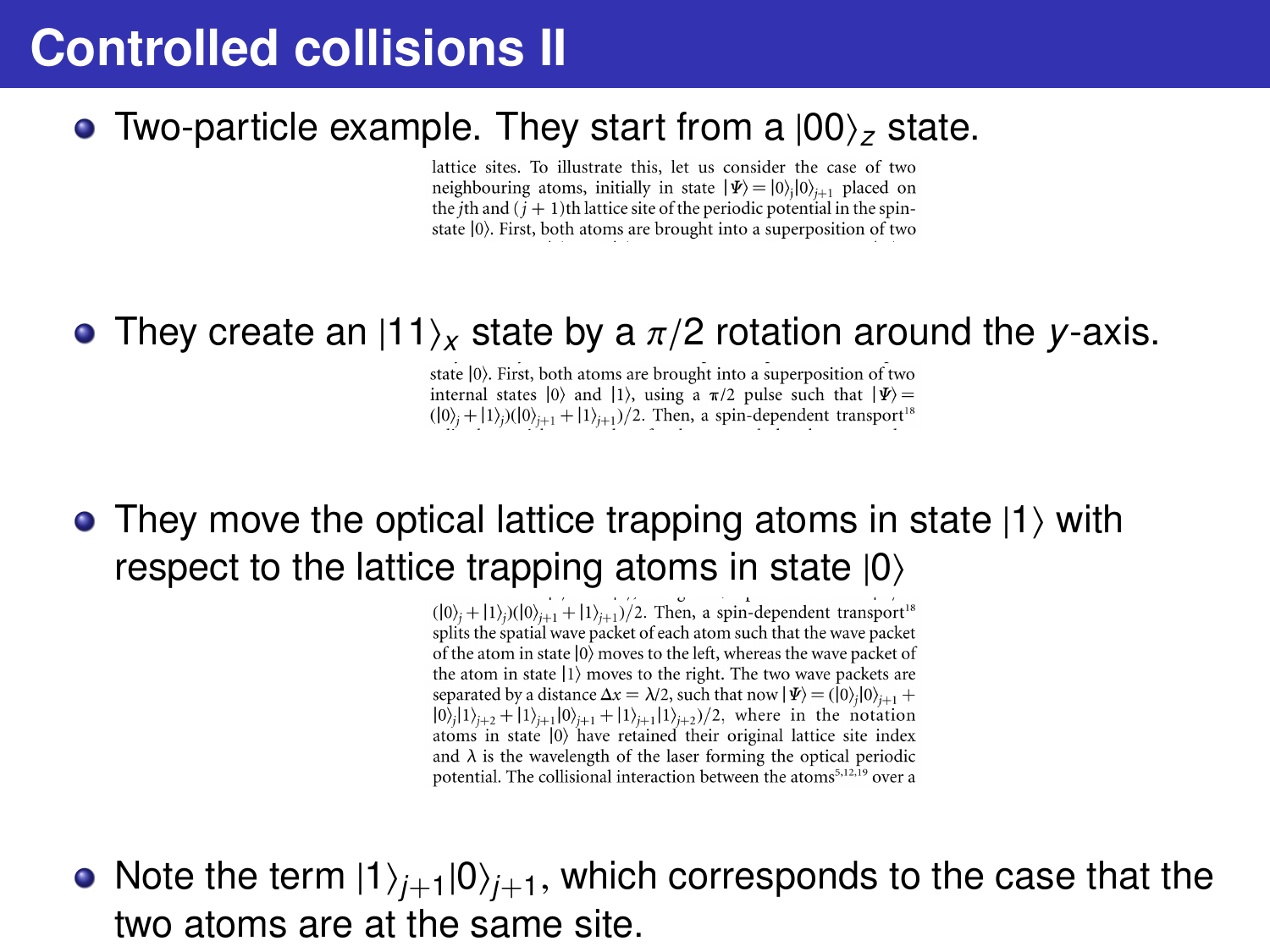## **Controlled collisions II**

#### • Two-particle example. They start from a  $|00\rangle$ <sub>z</sub> state.

lattice sites. To illustrate this, let us consider the case of two neighbouring atoms, initially in state  $|\Psi\rangle = |0\rangle, |0\rangle_{i+1}$  placed on the *i*th and  $(i + 1)$ th lattice site of the periodic potential in the spinstate (0). First, both atoms are brought into a superposition of two

# • They create an  $|11\rangle_X$  state by a  $\pi/2$  rotation around the *y*-axis.<br>
state  $|0\rangle$ . First, both atoms are brought into a superposition of two<br>
internal states  $|0\rangle$  and  $|1\rangle$ , using a  $\pi/2$  pulse such that  $|\Psi\rangle$

 $(|0\rangle_i + |1\rangle_i)(|0\rangle_{i+1} + |1\rangle_{i+1})/2$ . Then, a spin-dependent transport<sup>18</sup>

### $\bullet$  They move the optical lattice trapping atoms in state  $|1\rangle$  with respect to the lattice trapping atoms in state  $|0\rangle$

 $(|0\rangle_i + |1\rangle_i)(|0\rangle_{i+1} + |1\rangle_{i+1})/2$ . Then, a spin-dependent transport<sup>18</sup> splits the spatial wave packet of each atom such that the wave packet of the atom in state  $|0\rangle$  moves to the left, whereas the wave packet of the atom in state  $|1\rangle$  moves to the right. The two wave packets are separated by a distance  $\Delta x = \lambda/2$ , such that now  $|\Psi\rangle = (0,0)|0\rangle_{i+1}$ .  $|0\rangle_{i}|1\rangle_{i+2}+|1\rangle_{i+1}|0\rangle_{i+1}+|1\rangle_{i+1}|1\rangle_{i+2}\rangle/2$ , where in the notation atoms in state (0) have retained their original lattice site index and  $\lambda$  is the wavelength of the laser forming the optical periodic potential. The collisional interaction between the atoms<sup>5,12,19</sup> over a

• Note the term  $|1\rangle_{i+1}|0\rangle_{i+1}$ , which corresponds to the case that the two atoms are at the same site.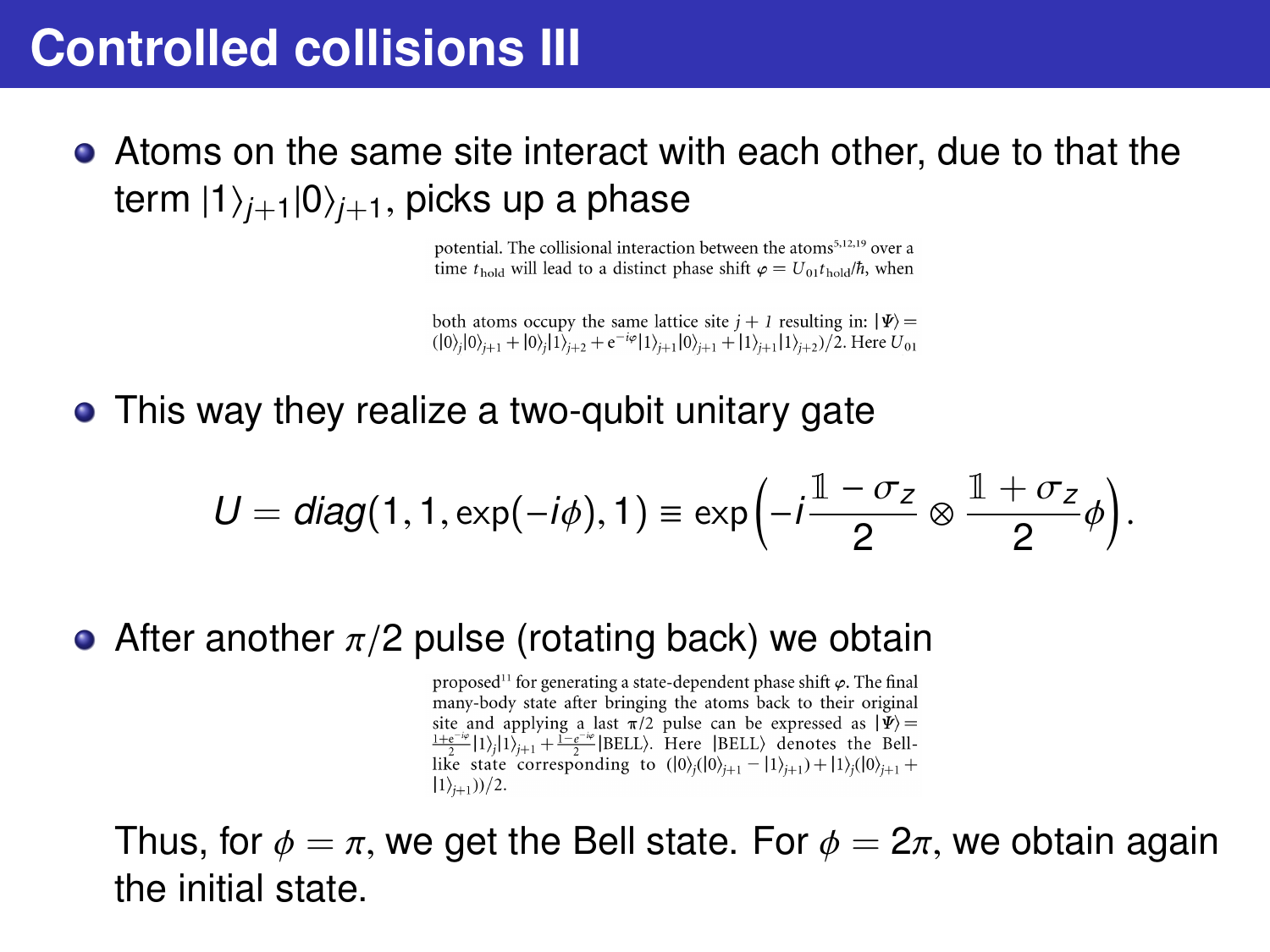Atoms on the same site interact with each other, due to that the term  $|1\rangle_{j+1}|0\rangle_{j+1}$ , picks up a phase<br>potential. The collisional interaction between the atoms<sup>512,19</sup> over a

time  $t_{\text{hold}}$  will lead to a distinct phase shift  $\varphi = U_{\text{old}} t_{\text{hold}} / \hbar$ , when

both atoms occupy the same lattice site  $j + 1$  resulting in:  $|\Psi\rangle$  =  $(|0\rangle_{i}|0\rangle_{i+1}+|0\rangle_{i}|1\rangle_{i+2}+e^{-i\varphi}|1\rangle_{i+1}|0\rangle_{i+1}+|1\rangle_{i+1}|1\rangle_{i+2})/2.$  Here  $U_{01}$ 

• This way they realize a two-qubit unitary gate

$$
U = diag(1, 1, \exp(-i\phi), 1) \equiv \exp\left(-i\frac{1-\sigma_z}{2} \otimes \frac{1+\sigma_z}{2}\phi\right).
$$

• After another  $π/2$  pulse (rotating back) we obtain<br>
proposed<sup>11</sup> for generating a state-dependent phase shift  $φ$ . The final<br>
many-body state after bringing the atoms back to their original

site and applying a last  $\pi/2$  pulse can be expressed as  $|\Psi\rangle =$  $\frac{1+e^{-i\phi}}{\lambda} |1\rangle, |1\rangle_{i+1} + \frac{1-e^{-i\phi}}{\lambda} |BEL\rangle$ . Here [BELL) denotes the Belllike state corresponding to  $(|0\rangle_i(|0\rangle_{i+1} - |1\rangle_{i+1}) + |1\rangle_i|0\rangle_{i+1} +$  $|1\rangle_{i+1}$ ))/2.

Thus, for  $\phi = \pi$ , we get the Bell state. For  $\phi = 2\pi$ , we obtain again the initial state.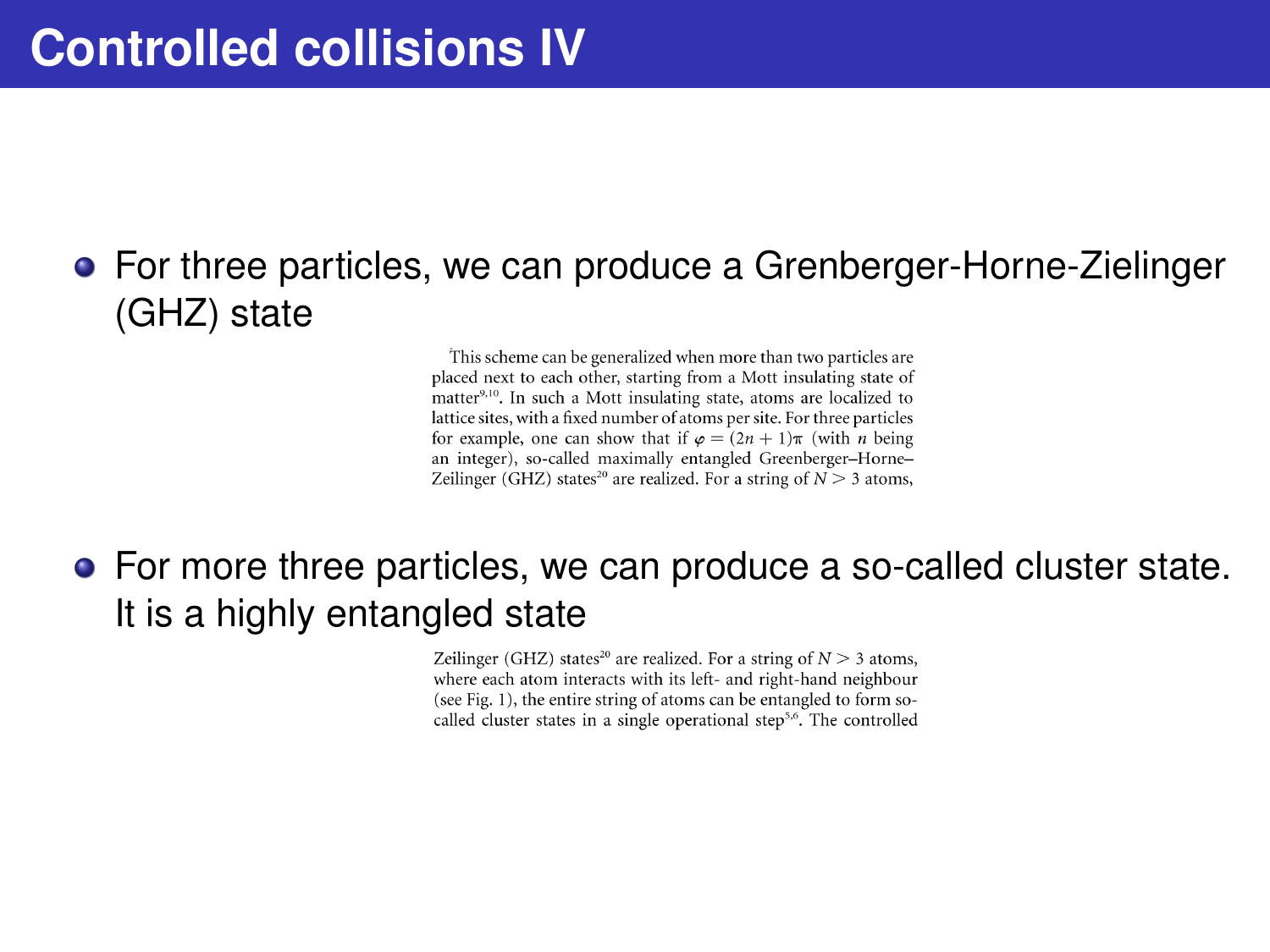## For three particles, we can produce a Grenberger-Horne-Zielinger (GHZ) state

This scheme can be generalized when more than two particles are placed next to each other, starting from a Mott insulating state of matter<sup>9,10</sup>. In such a Mott insulating state, atoms are localized to lattice sites, with a fixed number of atoms per site. For three particles for example, one can show that if  $\varphi = (2n + 1)\pi$  (with *n* being an integer), so-called maximally entangled Greenberger-Horne-Zeilinger (GHZ) states<sup>20</sup> are realized. For a string of  $N > 3$  atoms,

### For more three particles, we can produce a so-called cluster state. It is a highly entangled state

Zeilinger (GHZ) states<sup>20</sup> are realized. For a string of  $N \geq 3$  atoms, where each atom interacts with its left- and right-hand neighbour (see Fig. 1), the entire string of atoms can be entangled to form socalled cluster states in a single operational step<sup>5,6</sup>. The controlled